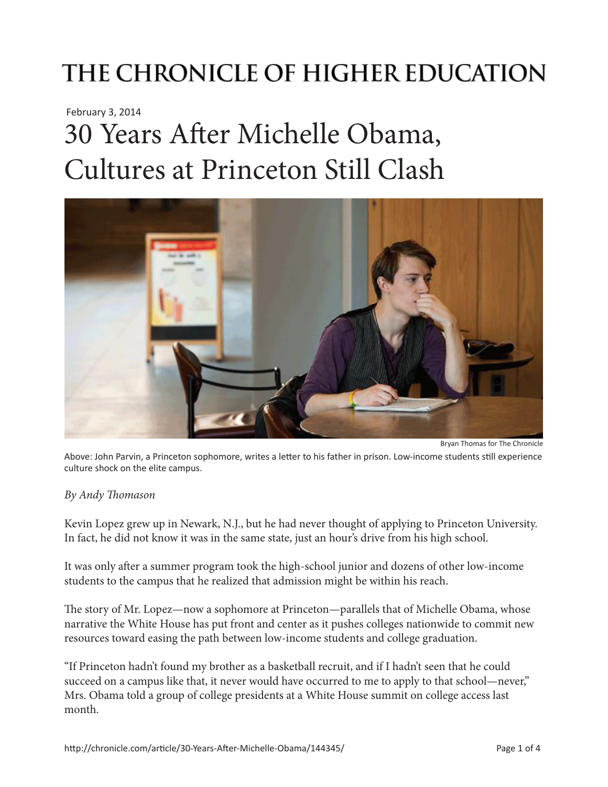## THE CHRONICLE OF HIGHER EDUCATION

February 3, 2014

# 30 Years After Michelle Obama, Cultures at Princeton Still Clash



Bryan Thomas for The Chronicle

Above: John Parvin, a Princeton sophomore, writes a letter to his father in prison. Low-income students still experience culture shock on the elite campus.

#### *By Andy Thomason*

Kevin Lopez grew up in Newark, N.J., but he had never thought of applying to Princeton University. In fact, he did not know it was in the same state, just an hour's drive from his high school.

It was only after a summer program took the high-school junior and dozens of other low-income students to the campus that he realized that admission might be within his reach.

The story of Mr. Lopez—now a sophomore at Princeton—parallels that of Michelle Obama, whose narrative the White House has put front and center as it pushes colleges nationwide to commit new resources toward easing the path between low-income students and college graduation.

"If Princeton hadn't found my brother as a basketball recruit, and if I hadn't seen that he could succeed on a campus like that, it never would have occurred to me to apply to that school—never," Mrs. Obama told a group of college presidents at a White House summit on college access last month.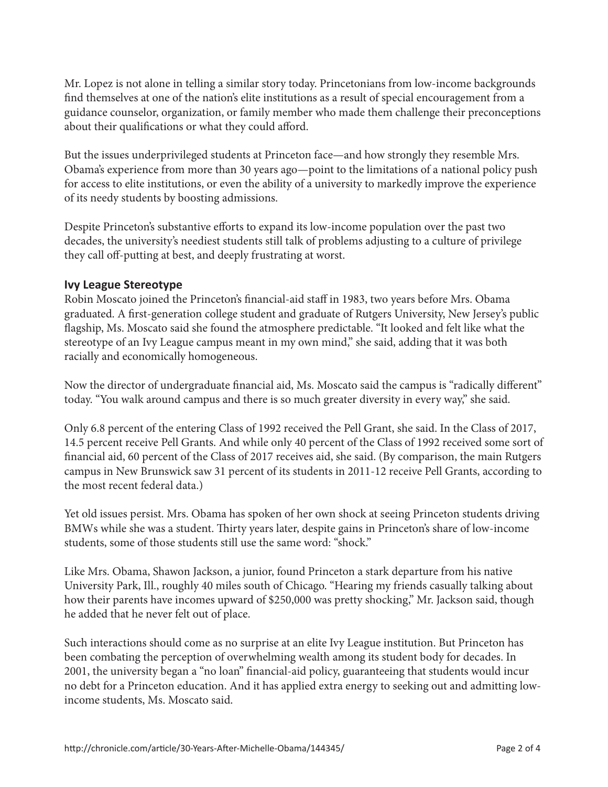Mr. Lopez is not alone in telling a similar story today. Princetonians from low-income backgrounds find themselves at one of the nation's elite institutions as a result of special encouragement from a guidance counselor, organization, or family member who made them challenge their preconceptions about their qualifications or what they could afford.

But the issues underprivileged students at Princeton face—and how strongly they resemble Mrs. Obama's experience from more than 30 years ago—point to the limitations of a national policy push for access to elite institutions, or even the ability of a university to markedly improve the experience of its needy students by boosting admissions.

Despite Princeton's substantive efforts to expand its low-income population over the past two decades, the university's neediest students still talk of problems adjusting to a culture of privilege they call off-putting at best, and deeply frustrating at worst.

#### **Ivy League Stereotype**

Robin Moscato joined the Princeton's financial-aid staff in 1983, two years before Mrs. Obama graduated. A first-generation college student and graduate of Rutgers University, New Jersey's public flagship, Ms. Moscato said she found the atmosphere predictable. "It looked and felt like what the stereotype of an Ivy League campus meant in my own mind," she said, adding that it was both racially and economically homogeneous.

Now the director of undergraduate financial aid, Ms. Moscato said the campus is "radically different" today. "You walk around campus and there is so much greater diversity in every way," she said.

Only 6.8 percent of the entering Class of 1992 received the Pell Grant, she said. In the Class of 2017, 14.5 percent receive Pell Grants. And while only 40 percent of the Class of 1992 received some sort of financial aid, 60 percent of the Class of 2017 receives aid, she said. (By comparison, the main Rutgers campus in New Brunswick saw 31 percent of its students in 2011-12 receive Pell Grants, according to the most recent federal data.)

Yet old issues persist. Mrs. Obama has spoken of her own shock at seeing Princeton students driving BMWs while she was a student. Thirty years later, despite gains in Princeton's share of low-income students, some of those students still use the same word: "shock."

Like Mrs. Obama, Shawon Jackson, a junior, found Princeton a stark departure from his native University Park, Ill., roughly 40 miles south of Chicago. "Hearing my friends casually talking about how their parents have incomes upward of \$250,000 was pretty shocking," Mr. Jackson said, though he added that he never felt out of place.

Such interactions should come as no surprise at an elite Ivy League institution. But Princeton has been combating the perception of overwhelming wealth among its student body for decades. In 2001, the university began a "no loan" financial-aid policy, guaranteeing that students would incur no debt for a Princeton education. And it has applied extra energy to seeking out and admitting lowincome students, Ms. Moscato said.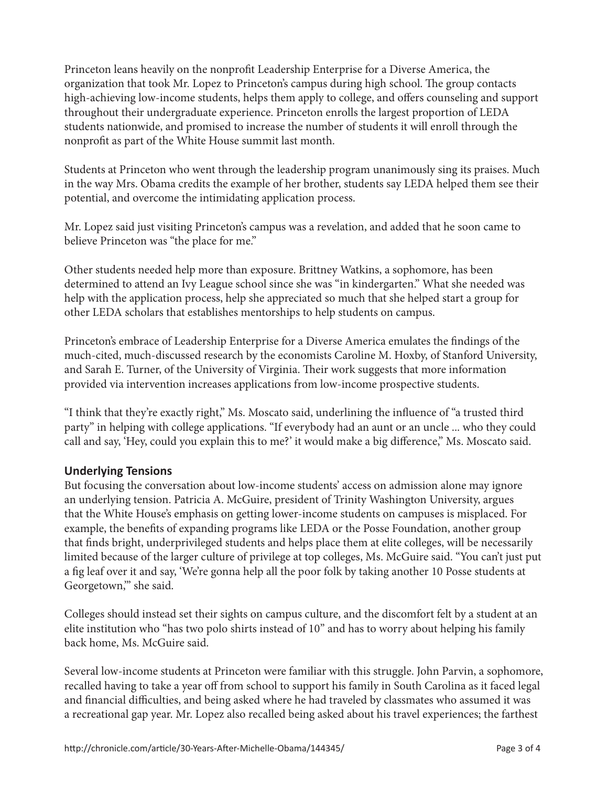Princeton leans heavily on the nonprofit Leadership Enterprise for a Diverse America, the organization that took Mr. Lopez to Princeton's campus during high school. The group contacts high-achieving low-income students, helps them apply to college, and offers counseling and support throughout their undergraduate experience. Princeton enrolls the largest proportion of LEDA students nationwide, and promised to increase the number of students it will enroll through the nonprofit as part of the White House summit last month.

Students at Princeton who went through the leadership program unanimously sing its praises. Much in the way Mrs. Obama credits the example of her brother, students say LEDA helped them see their potential, and overcome the intimidating application process.

Mr. Lopez said just visiting Princeton's campus was a revelation, and added that he soon came to believe Princeton was "the place for me."

Other students needed help more than exposure. Brittney Watkins, a sophomore, has been determined to attend an Ivy League school since she was "in kindergarten." What she needed was help with the application process, help she appreciated so much that she helped start a group for other LEDA scholars that establishes mentorships to help students on campus.

Princeton's embrace of Leadership Enterprise for a Diverse America emulates the findings of the much-cited, much-discussed research by the economists Caroline M. Hoxby, of Stanford University, and Sarah E. Turner, of the University of Virginia. Their work suggests that more information provided via intervention increases applications from low-income prospective students.

"I think that they're exactly right," Ms. Moscato said, underlining the influence of "a trusted third party" in helping with college applications. "If everybody had an aunt or an uncle ... who they could call and say, 'Hey, could you explain this to me?' it would make a big difference," Ms. Moscato said.

### **Underlying Tensions**

But focusing the conversation about low-income students' access on admission alone may ignore an underlying tension. Patricia A. McGuire, president of Trinity Washington University, argues that the White House's emphasis on getting lower-income students on campuses is misplaced. For example, the benefits of expanding programs like LEDA or the Posse Foundation, another group that finds bright, underprivileged students and helps place them at elite colleges, will be necessarily limited because of the larger culture of privilege at top colleges, Ms. McGuire said. "You can't just put a fig leaf over it and say, 'We're gonna help all the poor folk by taking another 10 Posse students at Georgetown,'" she said.

Colleges should instead set their sights on campus culture, and the discomfort felt by a student at an elite institution who "has two polo shirts instead of 10" and has to worry about helping his family back home, Ms. McGuire said.

Several low-income students at Princeton were familiar with this struggle. John Parvin, a sophomore, recalled having to take a year off from school to support his family in South Carolina as it faced legal and financial difficulties, and being asked where he had traveled by classmates who assumed it was a recreational gap year. Mr. Lopez also recalled being asked about his travel experiences; the farthest